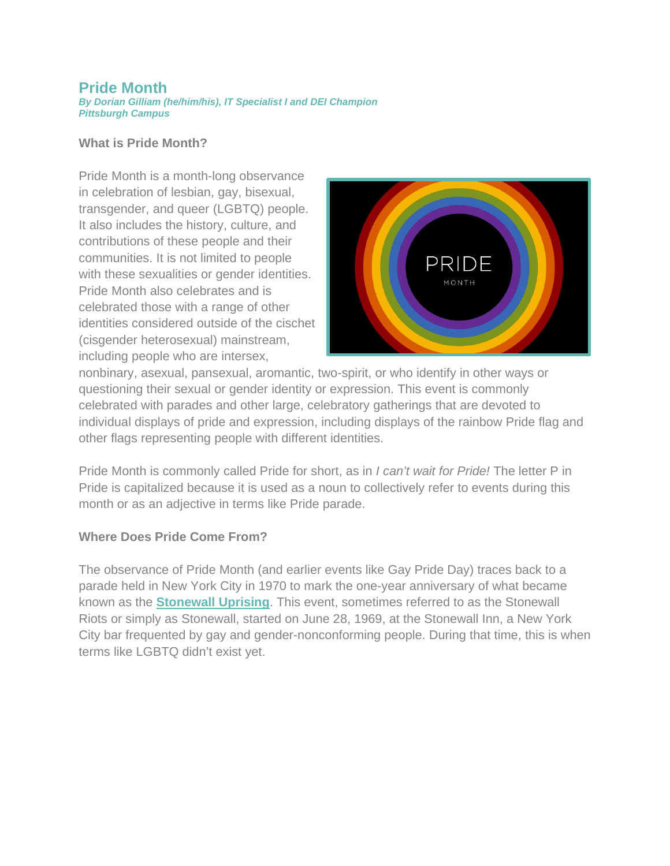## **Pride Month**

*By Dorian Gilliam (he/him/his), IT Specialist I and DEI Champion Pittsburgh Campus*

## **What is Pride Month?**

Pride Month is a month-long observance in celebration of lesbian, gay, bisexual, transgender, and queer (LGBTQ) people. It also includes the history, culture, and contributions of these people and their communities. It is not limited to people with these sexualities or gender identities. Pride Month also celebrates and is celebrated those with a range of other identities considered outside of the cischet (cisgender heterosexual) mainstream, including people who are intersex,



nonbinary, asexual, pansexual, aromantic, two-spirit, or who identify in other ways or questioning their sexual or gender identity or expression. This event is commonly celebrated with parades and other large, celebratory gatherings that are devoted to individual displays of pride and expression, including displays of the rainbow Pride flag and other flags representing people with different identities.

Pride Month is commonly called Pride for short, as in *I can't wait for Pride!* The letter P in Pride is capitalized because it is used as a noun to collectively refer to events during this month or as an adjective in terms like Pride parade.

## **Where Does Pride Come From?**

The observance of Pride Month (and earlier events like Gay Pride Day) traces back to a parade held in New York City in 1970 to mark the one-year anniversary of what became known as the **[Stonewall Uprising](https://www.history.com/topics/gay-rights/the-stonewall-riots)**. This event, sometimes referred to as the Stonewall Riots or simply as Stonewall, started on June 28, 1969, at the Stonewall Inn, a New York City bar frequented by gay and gender-nonconforming people. During that time, this is when terms like LGBTQ didn't exist yet.